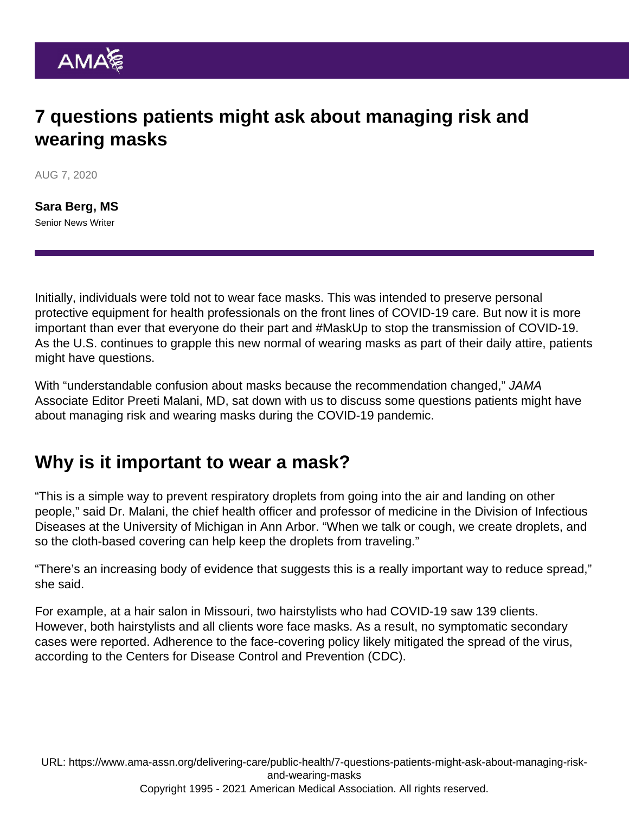# 7 questions patients might ask about managing risk and wearing masks

AUG 7, 2020

[Sara Berg, MS](https://www.ama-assn.org/news-leadership-viewpoints/authors-news-leadership-viewpoints/sara-berg-ms) Senior News Writer

Initially, individuals were told not to wear face masks. This was intended to preserve personal protective equipment for health professionals on the front lines of COVID-19 care. But now it is more important than ever that everyone do their part and [#MaskUp](https://twitter.com/search?q=#MaskUp) to stop the transmission of COVID-19. As the U.S. continues to grapple this [new normal of wearing masks](https://www.ama-assn.org/topics/coronavirus-masking-public) as part of their daily attire, patients might have questions.

With "understandable confusion about masks because the recommendation changed," JAMA Associate Editor Preeti Malani, MD, sat down with us to discuss some questions patients might have about managing risk and wearing masks during the COVID-19 pandemic.

### Why is it important to wear a mask?

"This is a simple way to prevent respiratory droplets from going into the air and landing on other people," said Dr. Malani, the chief health officer and professor of medicine in the Division of Infectious Diseases at the University of Michigan in Ann Arbor. "When we talk or cough, we create droplets, and so the cloth-based covering can help keep the droplets from traveling."

"There's an increasing body of evidence that suggests this is a really important way to reduce spread," she said.

For example, at a [hair salon in Missouri](https://www.cdc.gov/mmwr/volumes/69/wr/mm6928e2.htm), two hairstylists who had COVID-19 saw 139 clients. However, both hairstylists and all clients wore face masks. As a result, no symptomatic secondary cases were reported. Adherence to the face-covering policy likely mitigated the spread of the virus, according to the Centers for Disease Control and Prevention (CDC).

URL: [https://www.ama-assn.org/delivering-care/public-health/7-questions-patients-might-ask-about-managing-risk](https://www.ama-assn.org/delivering-care/public-health/7-questions-patients-might-ask-about-managing-risk-and-wearing-masks)[and-wearing-masks](https://www.ama-assn.org/delivering-care/public-health/7-questions-patients-might-ask-about-managing-risk-and-wearing-masks) Copyright 1995 - 2021 American Medical Association. All rights reserved.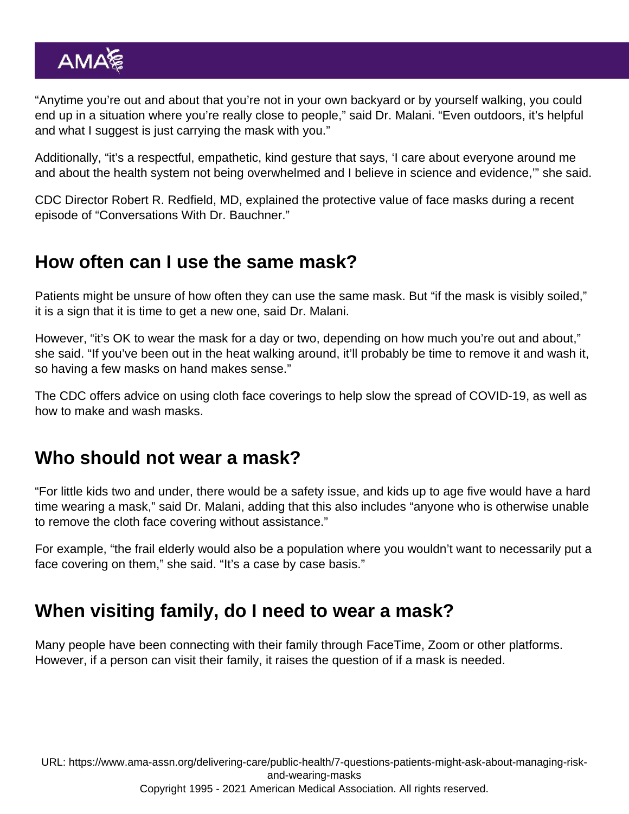"Anytime you're out and about that you're not in your own backyard or by yourself walking, you could end up in a situation where you're really close to people," said Dr. Malani. "Even outdoors, it's helpful and what I suggest is just carrying the mask with you."

Additionally, "it's a respectful, empathetic, kind gesture that says, 'I care about everyone around me and about the health system not being overwhelmed and I believe in science and evidence,'" she said.

CDC Director Robert R. Redfield, MD, explained the [protective value of face masks](https://edhub.ama-assn.org/jn-learning/audio-player/18526056) during a recent episode of "Conversations With Dr. Bauchner."

#### How often can I use the same mask?

Patients might be unsure of how often they can use the same mask. But "if the mask is visibly soiled," it is a sign that it is time to get a new one, said Dr. Malani.

However, "it's OK to wear the mask for a day or two, depending on how much you're out and about," she said. "If you've been out in the heat walking around, it'll probably be time to remove it and wash it, so having a few masks on hand makes sense."

The CDC offers advice on using [cloth face coverings to help slow the spread of COVID-19](https://www.cdc.gov/coronavirus/2019-ncov/prevent-getting-sick/diy-cloth-face-coverings.html), as well as how to make and wash masks.

### Who should not wear a mask?

"For little kids two and under, there would be a safety issue, and kids up to age five would have a hard time wearing a mask," said Dr. Malani, adding that this also includes "anyone who is otherwise unable to remove the cloth face covering without assistance."

For example, "the frail elderly would also be a population where you wouldn't want to necessarily put a face covering on them," she said. "It's a case by case basis."

## When visiting family, do I need to wear a mask?

Many people have been connecting with their family through FaceTime, Zoom or other platforms. However, if a person can visit their family, it raises the question of if a mask is needed.

URL: [https://www.ama-assn.org/delivering-care/public-health/7-questions-patients-might-ask-about-managing-risk](https://www.ama-assn.org/delivering-care/public-health/7-questions-patients-might-ask-about-managing-risk-and-wearing-masks)[and-wearing-masks](https://www.ama-assn.org/delivering-care/public-health/7-questions-patients-might-ask-about-managing-risk-and-wearing-masks) Copyright 1995 - 2021 American Medical Association. All rights reserved.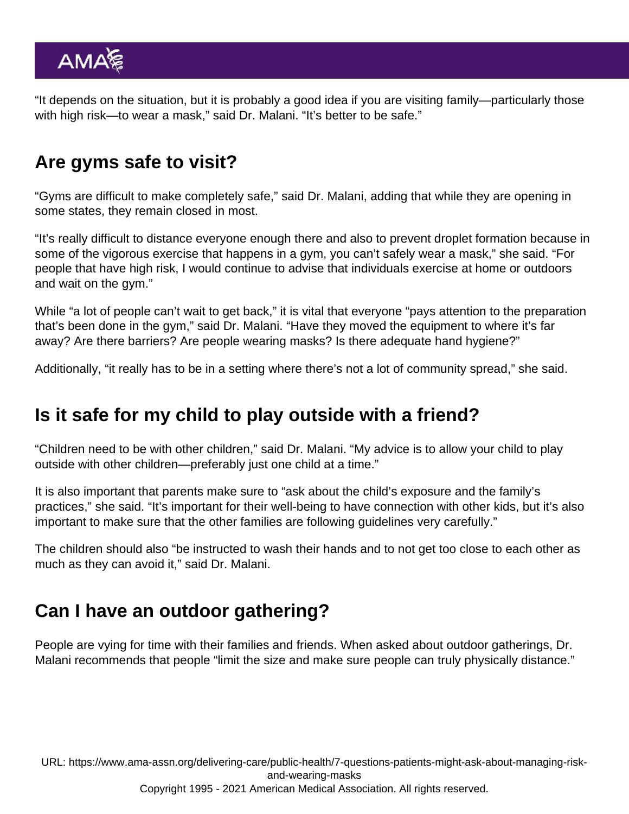"It depends on the situation, but it is probably a good idea if you are visiting family—particularly those with high risk—to wear a mask," said Dr. Malani. "It's better to be safe."

## Are gyms safe to visit?

"Gyms are difficult to make completely safe," said Dr. Malani, adding that while they are opening in some states, they remain closed in most.

"It's really difficult to distance everyone enough there and also to prevent droplet formation because in some of the vigorous exercise that happens in a gym, you can't safely wear a mask," she said. "For people that have high risk, I would continue to advise that individuals exercise at home or outdoors and wait on the gym."

While "a lot of people can't wait to get back," it is vital that everyone "pays attention to the preparation that's been done in the gym," said Dr. Malani. "Have they moved the equipment to where it's far away? Are there barriers? Are people wearing masks? Is there adequate hand hygiene?"

Additionally, "it really has to be in a setting where there's not a lot of community spread," she said.

### Is it safe for my child to play outside with a friend?

"Children need to be with other children," said Dr. Malani. "My advice is to allow your child to play outside with other children—preferably just one child at a time."

It is also important that parents make sure to "ask about the child's exposure and the family's practices," she said. "It's important for their well-being to have connection with other kids, but it's also important to make sure that the other families are following guidelines very carefully."

The children should also "be instructed to wash their hands and to not get too close to each other as much as they can avoid it," said Dr. Malani.

## Can I have an outdoor gathering?

People are vying for time with their families and friends. When asked about outdoor gatherings, Dr. Malani recommends that people "limit the size and make sure people can truly physically distance."

URL: [https://www.ama-assn.org/delivering-care/public-health/7-questions-patients-might-ask-about-managing-risk](https://www.ama-assn.org/delivering-care/public-health/7-questions-patients-might-ask-about-managing-risk-and-wearing-masks)[and-wearing-masks](https://www.ama-assn.org/delivering-care/public-health/7-questions-patients-might-ask-about-managing-risk-and-wearing-masks) Copyright 1995 - 2021 American Medical Association. All rights reserved.